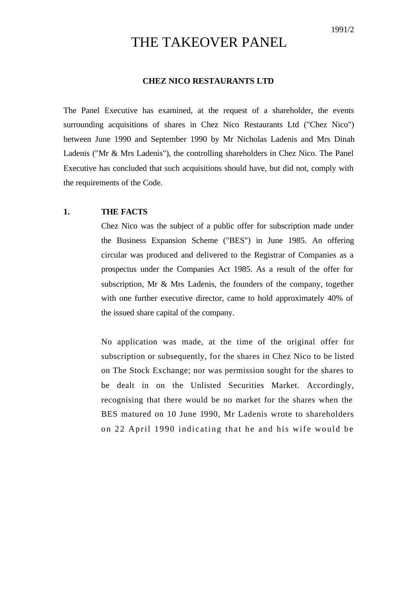# THE TAKEOVER PANEL

## **CHEZ NICO RESTAURANTS LTD**

The Panel Executive has examined, at the request of a shareholder, the events surrounding acquisitions of shares in Chez Nico Restaurants Ltd ("Chez Nico") between June 1990 and September 1990 by Mr Nicholas Ladenis and Mrs Dinah Ladenis ("Mr & Mrs Ladenis"), the controlling shareholders in Chez Nico. The Panel Executive has concluded that such acquisitions should have, but did not, comply with the requirements of the Code.

# **1. THE FACTS**

Chez Nico was the subject of a public offer for subscription made under the Business Expansion Scheme ("BES") in June 1985. An offering circular was produced and delivered to the Registrar of Companies as a prospectus under the Companies Act 1985. As a result of the offer for subscription, Mr & Mrs Ladenis, the founders of the company, together with one further executive director, came to hold approximately 40% of the issued share capital of the company.

No application was made, at the time of the original offer for subscription or subsequently, for the shares in Chez Nico to be listed on The Stock Exchange; nor was permission sought for the shares to be dealt in on the Unlisted Securities Market. Accordingly, recognising that there would be no market for the shares when the BES matured on 10 June 1990, Mr Ladenis wrote to shareholders on 22 April 1990 indicating that he and his wife would be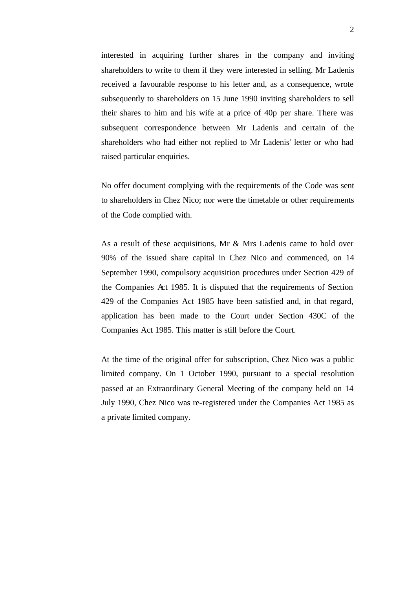interested in acquiring further shares in the company and inviting shareholders to write to them if they were interested in selling. Mr Ladenis received a favourable response to his letter and, as a consequence, wrote subsequently to shareholders on 15 June 1990 inviting shareholders to sell their shares to him and his wife at a price of 40p per share. There was subsequent correspondence between Mr Ladenis and certain of the shareholders who had either not replied to Mr Ladenis' letter or who had raised particular enquiries.

No offer document complying with the requirements of the Code was sent to shareholders in Chez Nico; nor were the timetable or other requirements of the Code complied with.

As a result of these acquisitions, Mr & Mrs Ladenis came to hold over 90% of the issued share capital in Chez Nico and commenced, on 14 September 1990, compulsory acquisition procedures under Section 429 of the Companies Act 1985. It is disputed that the requirements of Section 429 of the Companies Act 1985 have been satisfied and, in that regard, application has been made to the Court under Section 430C of the Companies Act 1985. This matter is still before the Court.

At the time of the original offer for subscription, Chez Nico was a public limited company. On 1 October 1990, pursuant to a special resolution passed at an Extraordinary General Meeting of the company held on 14 July 1990, Chez Nico was re-registered under the Companies Act 1985 as a private limited company.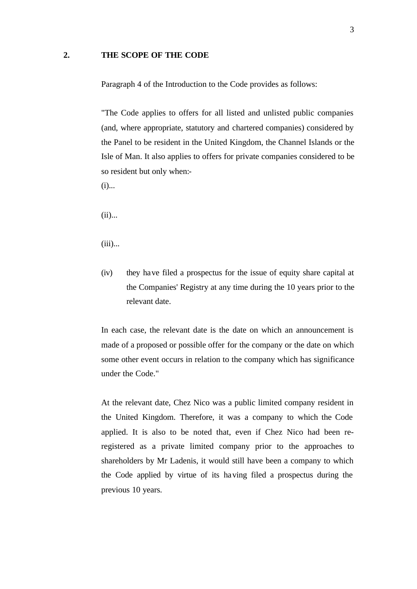#### **2. THE SCOPE OF THE CODE**

Paragraph 4 of the Introduction to the Code provides as follows:

"The Code applies to offers for all listed and unlisted public companies (and, where appropriate, statutory and chartered companies) considered by the Panel to be resident in the United Kingdom, the Channel Islands or the Isle of Man. It also applies to offers for private companies considered to be so resident but only when:-

 $(i)$ ...

 $(ii)$ ...

(iii)...

(iv) they have filed a prospectus for the issue of equity share capital at the Companies' Registry at any time during the 10 years prior to the relevant date.

In each case, the relevant date is the date on which an announcement is made of a proposed or possible offer for the company or the date on which some other event occurs in relation to the company which has significance under the Code."

At the relevant date, Chez Nico was a public limited company resident in the United Kingdom. Therefore, it was a company to which the Code applied. It is also to be noted that, even if Chez Nico had been reregistered as a private limited company prior to the approaches to shareholders by Mr Ladenis, it would still have been a company to which the Code applied by virtue of its having filed a prospectus during the previous 10 years.